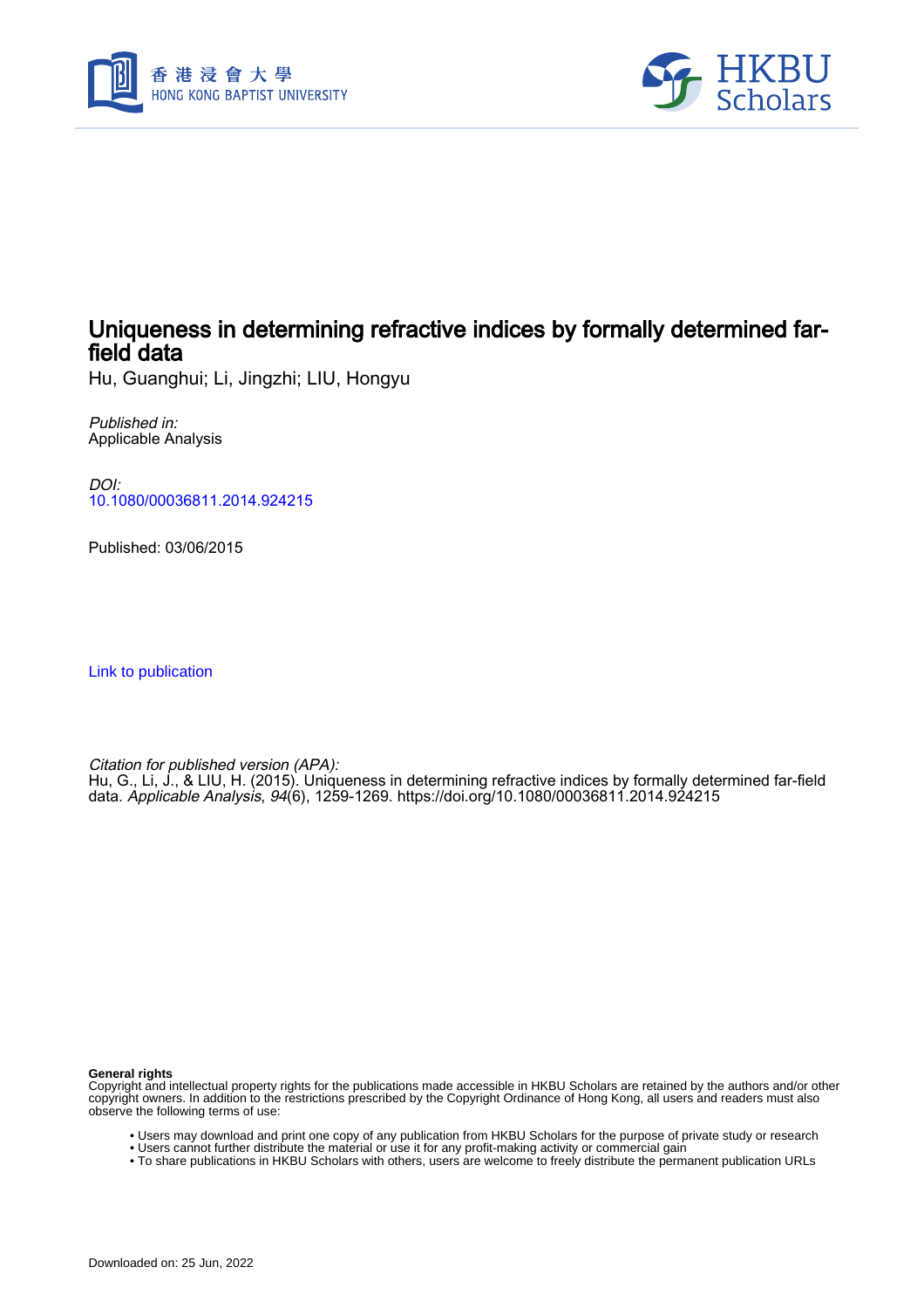



# Uniqueness in determining refractive indices by formally determined farfield data

Hu, Guanghui; Li, Jingzhi; LIU, Hongyu

Published in: Applicable Analysis

DOI: [10.1080/00036811.2014.924215](https://doi.org/10.1080/00036811.2014.924215)

Published: 03/06/2015

[Link to publication](https://scholars.hkbu.edu.hk/en/publications/4d63bf77-e0b7-4892-86ec-80618d0f15ff)

Citation for published version (APA):

Hu, G., Li, J., & LIU, H. (2015). Uniqueness in determining refractive indices by formally determined far-field data. Applicable Analysis, 94(6), 1259-1269. <https://doi.org/10.1080/00036811.2014.924215>

**General rights**

Copyright and intellectual property rights for the publications made accessible in HKBU Scholars are retained by the authors and/or other copyright owners. In addition to the restrictions prescribed by the Copyright Ordinance of Hong Kong, all users and readers must also observe the following terms of use:

- Users may download and print one copy of any publication from HKBU Scholars for the purpose of private study or research
- Users cannot further distribute the material or use it for any profit-making activity or commercial gain
- To share publications in HKBU Scholars with others, users are welcome to freely distribute the permanent publication URLs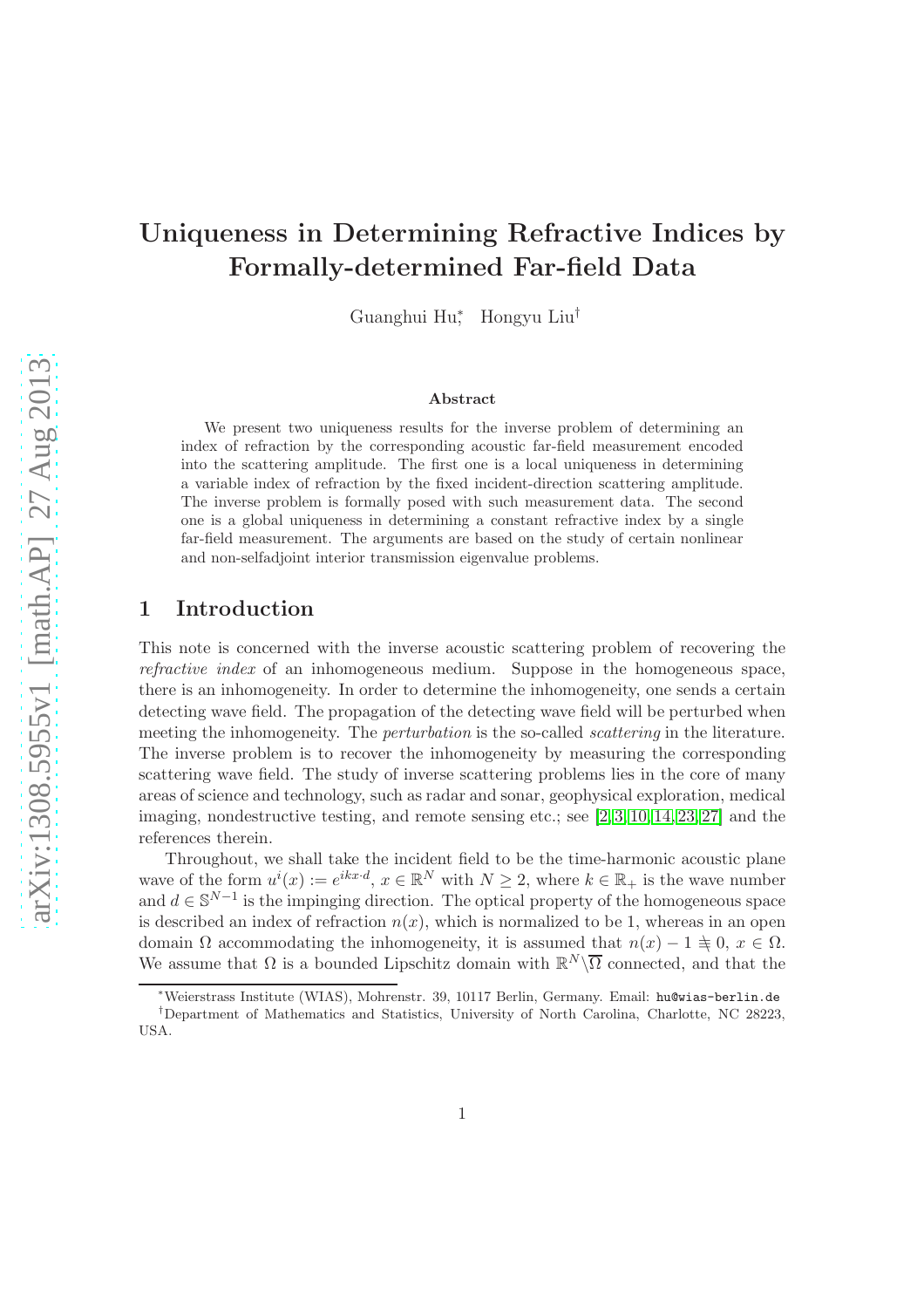# Uniqueness in Determining Refractive Indices by Formally-determined Far-field Data

Guanghui Hu<sup>∗</sup> , Hongyu Liu†

#### Abstract

We present two uniqueness results for the inverse problem of determining an index of refraction by the corresponding acoustic far-field measurement encoded into the scattering amplitude. The first one is a local uniqueness in determining a variable index of refraction by the fixed incident-direction scattering amplitude. The inverse problem is formally posed with such measurement data. The second one is a global uniqueness in determining a constant refractive index by a single far-field measurement. The arguments are based on the study of certain nonlinear and non-selfadjoint interior transmission eigenvalue problems.

## 1 Introduction

This note is concerned with the inverse acoustic scattering problem of recovering the refractive index of an inhomogeneous medium. Suppose in the homogeneous space, there is an inhomogeneity. In order to determine the inhomogeneity, one sends a certain detecting wave field. The propagation of the detecting wave field will be perturbed when meeting the inhomogeneity. The *perturbation* is the so-called *scattering* in the literature. The inverse problem is to recover the inhomogeneity by measuring the corresponding scattering wave field. The study of inverse scattering problems lies in the core of many areas of science and technology, such as radar and sonar, geophysical exploration, medical imaging, nondestructive testing, and remote sensing etc.; see [2, 3, 10, 14, 23, 27] and the references therein.

Throughout, we shall take the incident field to be the time-harmonic acoustic plane wave of the form  $u^{i}(x) := e^{ikx \cdot d}$ ,  $x \in \mathbb{R}^{N}$  with  $N \geq 2$ , where  $k \in \mathbb{R}_{+}$  is the wave number and  $d \in \mathbb{S}^{N-1}$  is the impinging direction. The optical property of the homogeneous space is described an index of refraction  $n(x)$ , which is normalized to be 1, whereas in an open domain  $\Omega$  accommodating the inhomogeneity, it is assumed that  $n(x) - 1 \not\equiv 0, x \in \Omega$ . We assume that  $\Omega$  is a bounded Lipschitz domain with  $\mathbb{R}^N \setminus \overline{\Omega}$  connected, and that the

<sup>∗</sup>Weierstrass Institute (WIAS), Mohrenstr. 39, 10117 Berlin, Germany. Email: hu@wias-berlin.de

<sup>†</sup>Department of Mathematics and Statistics, University of North Carolina, Charlotte, NC 28223, USA.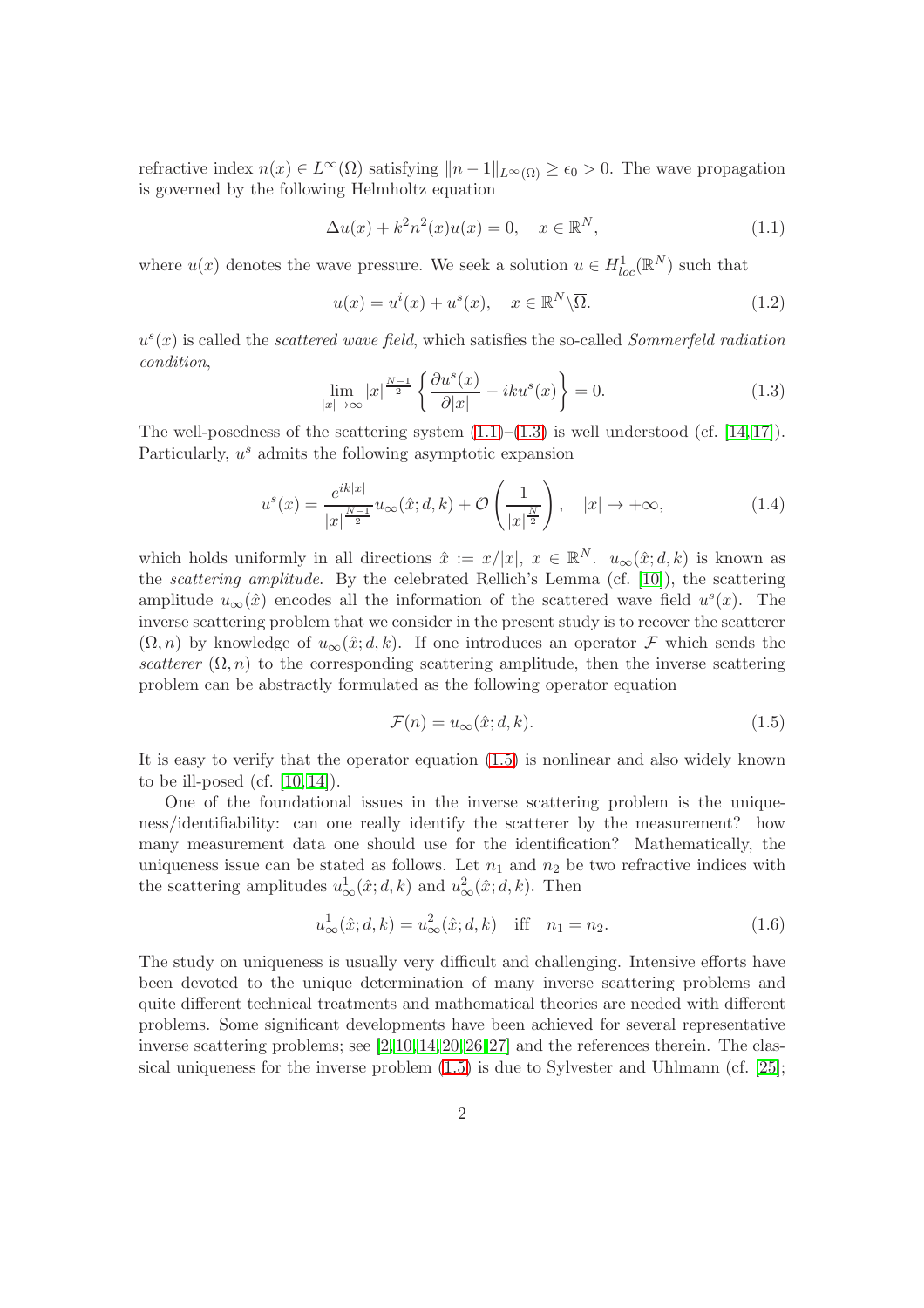refractive index  $n(x) \in L^{\infty}(\Omega)$  satisfying  $||n-1||_{L^{\infty}(\Omega)} \geq \epsilon_0 > 0$ . The wave propagation is governed by the following Helmholtz equation

$$
\Delta u(x) + k^2 n^2(x) u(x) = 0, \quad x \in \mathbb{R}^N,
$$
\n(1.1)

where  $u(x)$  denotes the wave pressure. We seek a solution  $u \in H_{loc}^1(\mathbb{R}^N)$  such that

$$
u(x) = u^{i}(x) + u^{s}(x), \quad x \in \mathbb{R}^{N} \backslash \overline{\Omega}.
$$
 (1.2)

 $u<sup>s</sup>(x)$  is called the scattered wave field, which satisfies the so-called Sommerfeld radiation condition,

$$
\lim_{|x| \to \infty} |x|^{\frac{N-1}{2}} \left\{ \frac{\partial u^s(x)}{\partial |x|} - ik u^s(x) \right\} = 0.
$$
\n(1.3)

The well-posedness of the scattering system  $(1.1)$ – $(1.3)$  is well understood (cf. [14,17]). Particularly,  $u^s$  admits the following asymptotic expansion

$$
u^{s}(x) = \frac{e^{ik|x|}}{|x|^{\frac{N-1}{2}}} u_{\infty}(\hat{x}; d, k) + \mathcal{O}\left(\frac{1}{|x|^{\frac{N}{2}}}\right), \quad |x| \to +\infty,
$$
 (1.4)

which holds uniformly in all directions  $\hat{x} := x/|x|, x \in \mathbb{R}^N$ .  $u_{\infty}(\hat{x}; d, k)$  is known as the scattering amplitude. By the celebrated Rellich's Lemma (cf. [10]), the scattering amplitude  $u_{\infty}(\hat{x})$  encodes all the information of the scattered wave field  $u^{s}(x)$ . The inverse scattering problem that we consider in the present study is to recover the scatterer  $(\Omega, n)$  by knowledge of  $u_{\infty}(\hat{x}; d, k)$ . If one introduces an operator F which sends the scatterer  $(\Omega, n)$  to the corresponding scattering amplitude, then the inverse scattering problem can be abstractly formulated as the following operator equation

$$
\mathcal{F}(n) = u_{\infty}(\hat{x}; d, k). \tag{1.5}
$$

It is easy to verify that the operator equation (1.5) is nonlinear and also widely known to be ill-posed (cf.  $[10, 14]$ ).

One of the foundational issues in the inverse scattering problem is the uniqueness/identifiability: can one really identify the scatterer by the measurement? how many measurement data one should use for the identification? Mathematically, the uniqueness issue can be stated as follows. Let  $n_1$  and  $n_2$  be two refractive indices with the scattering amplitudes  $u_{\infty}^1(\hat{x}; d, k)$  and  $u_{\infty}^2(\hat{x}; d, k)$ . Then

$$
u_{\infty}^{1}(\hat{x}; d, k) = u_{\infty}^{2}(\hat{x}; d, k) \quad \text{iff} \quad n_{1} = n_{2}. \tag{1.6}
$$

The study on uniqueness is usually very difficult and challenging. Intensive efforts have been devoted to the unique determination of many inverse scattering problems and quite different technical treatments and mathematical theories are needed with different problems. Some significant developments have been achieved for several representative inverse scattering problems; see [2,10,14,20,26,27] and the references therein. The classical uniqueness for the inverse problem (1.5) is due to Sylvester and Uhlmann (cf. [25];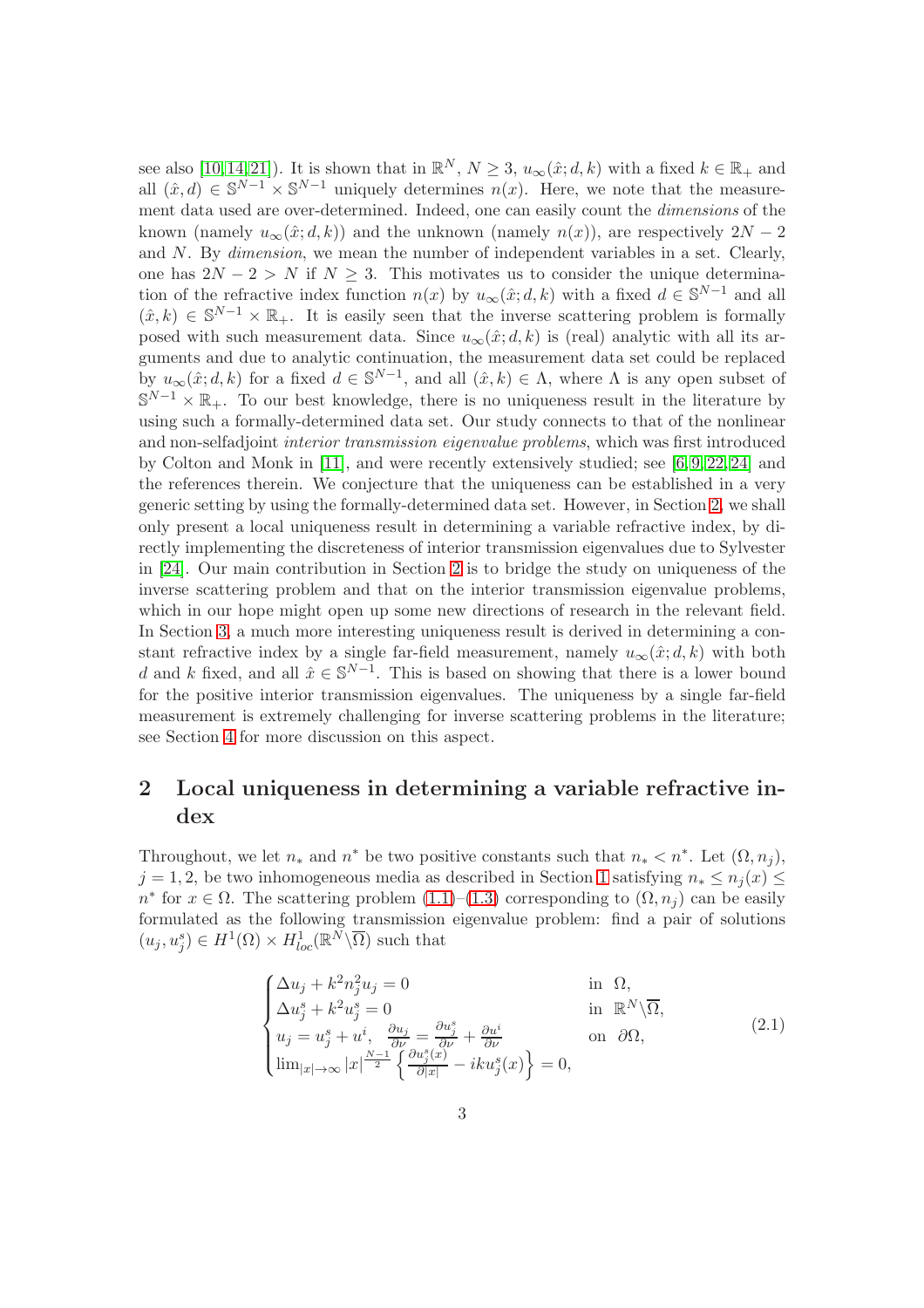see also [10,14,21]). It is shown that in  $\mathbb{R}^N$ ,  $N \geq 3$ ,  $u_{\infty}(\hat{x}; d, k)$  with a fixed  $k \in \mathbb{R}_+$  and all  $(\hat{x}, d) \in \mathbb{S}^{N-1} \times \mathbb{S}^{N-1}$  uniquely determines  $n(x)$ . Here, we note that the measurement data used are over-determined. Indeed, one can easily count the *dimensions* of the known (namely  $u_{\infty}(\hat{x}; d, k)$ ) and the unknown (namely  $n(x)$ ), are respectively  $2N - 2$ and  $N$ . By *dimension*, we mean the number of independent variables in a set. Clearly, one has  $2N - 2 > N$  if  $N \geq 3$ . This motivates us to consider the unique determination of the refractive index function  $n(x)$  by  $u_{\infty}(\hat{x}; d, k)$  with a fixed  $d \in \mathbb{S}^{N-1}$  and all  $(\hat{x}, k) \in \mathbb{S}^{N-1} \times \mathbb{R}_+$ . It is easily seen that the inverse scattering problem is formally posed with such measurement data. Since  $u_{\infty}(\hat{x}; d, k)$  is (real) analytic with all its arguments and due to analytic continuation, the measurement data set could be replaced by  $u_{\infty}(\hat{x}; d, k)$  for a fixed  $d \in \mathbb{S}^{N-1}$ , and all  $(\hat{x}, k) \in \Lambda$ , where  $\Lambda$  is any open subset of  $\mathbb{S}^{N-1} \times \mathbb{R}_+$ . To our best knowledge, there is no uniqueness result in the literature by using such a formally-determined data set. Our study connects to that of the nonlinear and non-selfadjoint interior transmission eigenvalue problems, which was first introduced by Colton and Monk in  $[11]$ , and were recently extensively studied; see  $[6, 9, 22, 24]$  and the references therein. We conjecture that the uniqueness can be established in a very generic setting by using the formally-determined data set. However, in Section 2, we shall only present a local uniqueness result in determining a variable refractive index, by directly implementing the discreteness of interior transmission eigenvalues due to Sylvester in [24]. Our main contribution in Section 2 is to bridge the study on uniqueness of the inverse scattering problem and that on the interior transmission eigenvalue problems, which in our hope might open up some new directions of research in the relevant field. In Section 3, a much more interesting uniqueness result is derived in determining a constant refractive index by a single far-field measurement, namely  $u_{\infty}(\hat{x}; d, k)$  with both d and k fixed, and all  $\hat{x} \in \mathbb{S}^{N-1}$ . This is based on showing that there is a lower bound for the positive interior transmission eigenvalues. The uniqueness by a single far-field measurement is extremely challenging for inverse scattering problems in the literature; see Section 4 for more discussion on this aspect.

# 2 Local uniqueness in determining a variable refractive index

Throughout, we let  $n_*$  and  $n^*$  be two positive constants such that  $n_* < n^*$ . Let  $(\Omega, n_j)$ ,  $j = 1, 2$ , be two inhomogeneous media as described in Section 1 satisfying  $n_* \leq n_j(x) \leq$  $n<sup>*</sup>$  for  $x \in Ω$ . The scattering problem (1.1)–(1.3) corresponding to (Ω, n<sub>j</sub>) can be easily formulated as the following transmission eigenvalue problem: find a pair of solutions  $(u_j, u_j^s) \in H^1(\Omega) \times H^1_{loc}(\mathbb{R}^N \backslash \overline{\Omega})$  such that

$$
\begin{cases}\n\Delta u_j + k^2 n_j^2 u_j = 0 & \text{in } \Omega, \\
\Delta u_j^s + k^2 u_j^s = 0 & \text{in } \mathbb{R}^N \setminus \overline{\Omega}, \\
u_j = u_j^s + u^i, \quad \frac{\partial u_j}{\partial \nu} = \frac{\partial u_j^s}{\partial \nu} + \frac{\partial u^i}{\partial \nu} \\
\lim_{|x| \to \infty} |x|^{\frac{N-1}{2}} \left\{ \frac{\partial u_j^s(x)}{\partial |x|} - ik u_j^s(x) \right\} = 0,\n\end{cases}
$$
\n(2.1)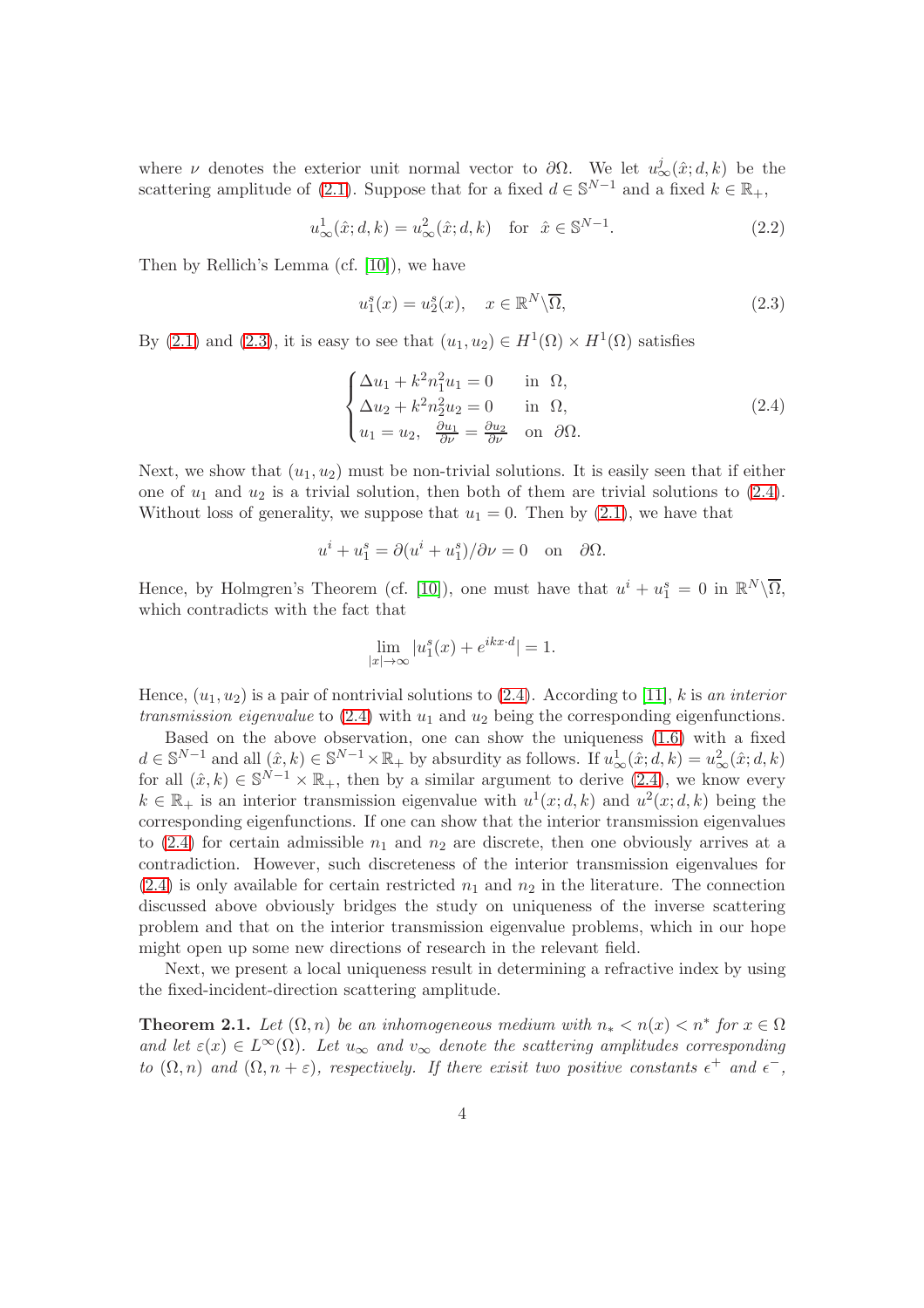where  $\nu$  denotes the exterior unit normal vector to  $\partial\Omega$ . We let  $u^j_{\infty}(\hat{x}; d, k)$  be the scattering amplitude of (2.1). Suppose that for a fixed  $d \in \mathbb{S}^{N-1}$  and a fixed  $k \in \mathbb{R}_+$ ,

$$
u_{\infty}^{1}(\hat{x}; d, k) = u_{\infty}^{2}(\hat{x}; d, k) \text{ for } \hat{x} \in \mathbb{S}^{N-1}.
$$
 (2.2)

Then by Rellich's Lemma (cf. [10]), we have

$$
u_1^s(x) = u_2^s(x), \quad x \in \mathbb{R}^N \backslash \overline{\Omega}, \tag{2.3}
$$

By (2.1) and (2.3), it is easy to see that  $(u_1, u_2) \in H^1(\Omega) \times H^1(\Omega)$  satisfies

$$
\begin{cases} \Delta u_1 + k^2 n_1^2 u_1 = 0 & \text{in } \Omega, \\ \Delta u_2 + k^2 n_2^2 u_2 = 0 & \text{in } \Omega, \\ u_1 = u_2, \ \ \frac{\partial u_1}{\partial \nu} = \frac{\partial u_2}{\partial \nu} & \text{on } \partial \Omega. \end{cases} \tag{2.4}
$$

Next, we show that  $(u_1, u_2)$  must be non-trivial solutions. It is easily seen that if either one of  $u_1$  and  $u_2$  is a trivial solution, then both of them are trivial solutions to  $(2.4)$ . Without loss of generality, we suppose that  $u_1 = 0$ . Then by (2.1), we have that

$$
u^{i} + u_{1}^{s} = \partial (u^{i} + u_{1}^{s})/\partial \nu = 0 \text{ on } \partial \Omega.
$$

Hence, by Holmgren's Theorem (cf. [10]), one must have that  $u^i + u_1^s = 0$  in  $\mathbb{R}^N \setminus \overline{\Omega}$ , which contradicts with the fact that

$$
\lim_{|x| \to \infty} |u_1^s(x) + e^{ikx \cdot d}| = 1.
$$

Hence,  $(u_1, u_2)$  is a pair of nontrivial solutions to (2.4). According to [11], k is an interior transmission eigenvalue to  $(2.4)$  with  $u_1$  and  $u_2$  being the corresponding eigenfunctions.

Based on the above observation, one can show the uniqueness (1.6) with a fixed  $d \in \mathbb{S}^{N-1}$  and all  $(\hat{x}, k) \in \mathbb{S}^{N-1} \times \mathbb{R}_+$  by absurdity as follows. If  $u^1_{\infty}(\hat{x}; d, k) = u^2_{\infty}(\hat{x}; d, k)$ for all  $(\hat{x}, k) \in \mathbb{S}^{N-1} \times \mathbb{R}_+$ , then by a similar argument to derive  $(2.4)$ , we know every  $k \in \mathbb{R}_+$  is an interior transmission eigenvalue with  $u^1(x; d, k)$  and  $u^2(x; d, k)$  being the corresponding eigenfunctions. If one can show that the interior transmission eigenvalues to (2.4) for certain admissible  $n_1$  and  $n_2$  are discrete, then one obviously arrives at a contradiction. However, such discreteness of the interior transmission eigenvalues for  $(2.4)$  is only available for certain restricted  $n_1$  and  $n_2$  in the literature. The connection discussed above obviously bridges the study on uniqueness of the inverse scattering problem and that on the interior transmission eigenvalue problems, which in our hope might open up some new directions of research in the relevant field.

Next, we present a local uniqueness result in determining a refractive index by using the fixed-incident-direction scattering amplitude.

**Theorem 2.1.** Let  $(\Omega, n)$  be an inhomogeneous medium with  $n_* < n(x) < n^*$  for  $x \in \Omega$ and let  $\varepsilon(x) \in L^{\infty}(\Omega)$ . Let  $u_{\infty}$  and  $v_{\infty}$  denote the scattering amplitudes corresponding to  $(\Omega, n)$  and  $(\Omega, n + \varepsilon)$ , respectively. If there exisit two positive constants  $\epsilon^+$  and  $\epsilon^-$ ,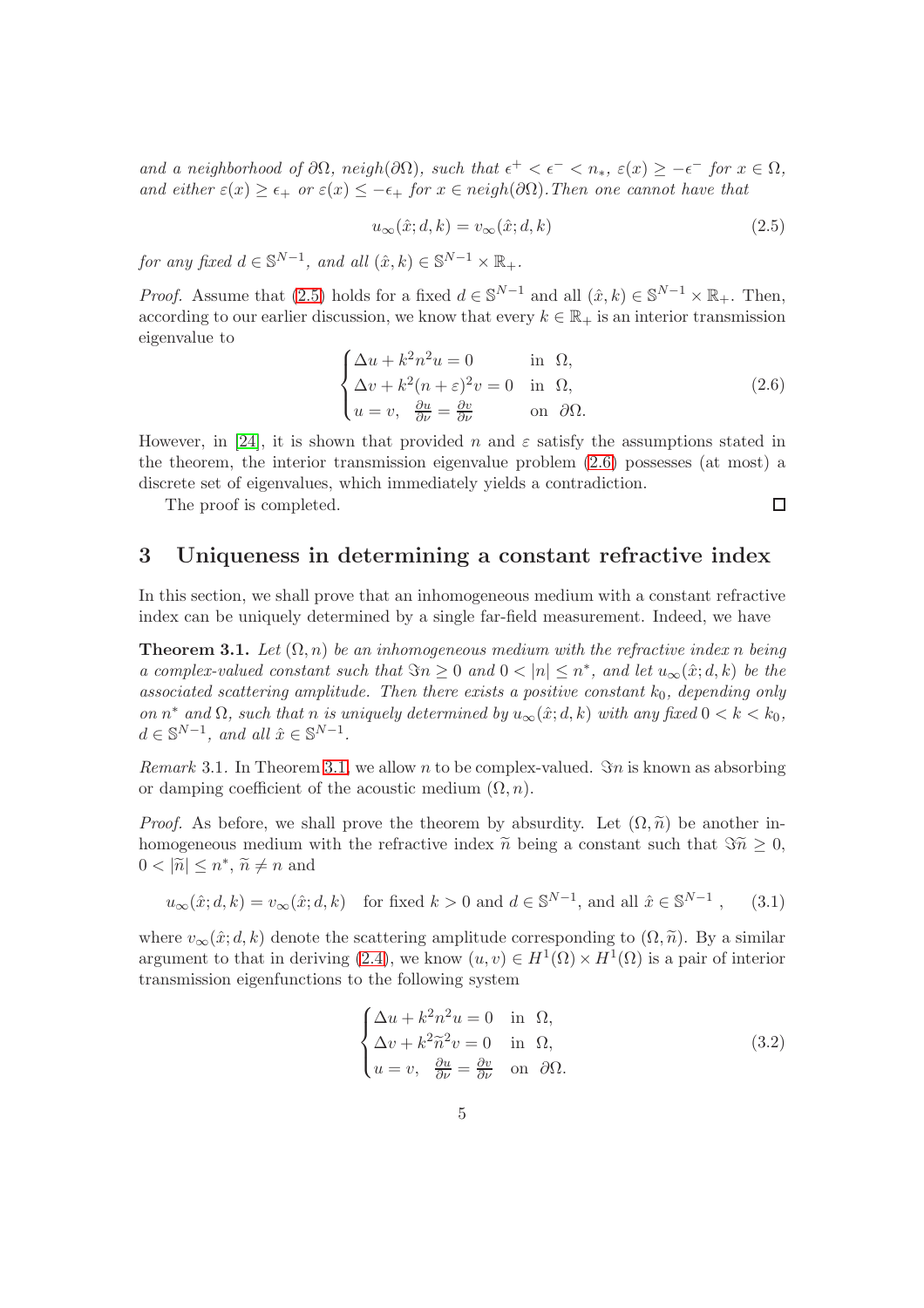and a neighborhood of  $\partial\Omega$ , neigh $(\partial\Omega)$ , such that  $\epsilon^+ < \epsilon^- < n_*$ ,  $\varepsilon(x) \geq -\epsilon^-$  for  $x \in \Omega$ , and either  $\varepsilon(x) \geq \epsilon_+$  or  $\varepsilon(x) \leq -\epsilon_+$  for  $x \in \text{neigh}(\partial\Omega)$ . Then one cannot have that

$$
u_{\infty}(\hat{x}; d, k) = v_{\infty}(\hat{x}; d, k)
$$
\n(2.5)

for any fixed  $d \in \mathbb{S}^{N-1}$ , and all  $(\hat{x}, k) \in \mathbb{S}^{N-1} \times \mathbb{R}_+$ .

*Proof.* Assume that (2.5) holds for a fixed  $d \in \mathbb{S}^{N-1}$  and all  $(\hat{x}, k) \in \mathbb{S}^{N-1} \times \mathbb{R}_+$ . Then, according to our earlier discussion, we know that every  $k \in \mathbb{R}_+$  is an interior transmission eigenvalue to

$$
\begin{cases} \Delta u + k^2 n^2 u = 0 & \text{in } \Omega, \\ \Delta v + k^2 (n + \varepsilon)^2 v = 0 & \text{in } \Omega, \\ u = v, & \frac{\partial u}{\partial \nu} = \frac{\partial v}{\partial \nu} & \text{on } \partial \Omega. \end{cases}
$$
 (2.6)

However, in [24], it is shown that provided n and  $\varepsilon$  satisfy the assumptions stated in the theorem, the interior transmission eigenvalue problem (2.6) possesses (at most) a discrete set of eigenvalues, which immediately yields a contradiction.

The proof is completed.

#### $\Box$

# 3 Uniqueness in determining a constant refractive index

In this section, we shall prove that an inhomogeneous medium with a constant refractive index can be uniquely determined by a single far-field measurement. Indeed, we have

**Theorem 3.1.** Let  $(\Omega, n)$  be an inhomogeneous medium with the refractive index n being a complex-valued constant such that  $\Im n \geq 0$  and  $0 < |n| \leq n^*$ , and let  $u_{\infty}(\hat{x}; d, k)$  be the associated scattering amplitude. Then there exists a positive constant  $k_0$ , depending only on  $n^*$  and  $\Omega$ , such that n is uniquely determined by  $u_{\infty}(\hat{x}; d, k)$  with any fixed  $0 < k < k_0$ ,  $d \in \mathbb{S}^{N-1}$ , and all  $\hat{x} \in \mathbb{S}^{N-1}$ .

*Remark* 3.1. In Theorem 3.1, we allow *n* to be complex-valued.  $\Im n$  is known as absorbing or damping coefficient of the acoustic medium  $(\Omega, n)$ .

*Proof.* As before, we shall prove the theorem by absurdity. Let  $(\Omega, \tilde{n})$  be another inhomogeneous medium with the refractive index  $\tilde{n}$  being a constant such that  $\Im \tilde{n} \geq 0$ ,  $0 < |\widetilde{n}| \le n^*, \widetilde{n} \ne n$  and

$$
u_{\infty}(\hat{x}; d, k) = v_{\infty}(\hat{x}; d, k) \quad \text{for fixed } k > 0 \text{ and } d \in \mathbb{S}^{N-1}, \text{ and all } \hat{x} \in \mathbb{S}^{N-1}, \tag{3.1}
$$

where  $v_{\infty}(\hat{x}; d, k)$  denote the scattering amplitude corresponding to  $(\Omega, \tilde{n})$ . By a similar argument to that in deriving (2.4), we know  $(u, v) \in H^1(\Omega) \times H^1(\Omega)$  is a pair of interior transmission eigenfunctions to the following system

$$
\begin{cases} \Delta u + k^2 n^2 u = 0 & \text{in } \Omega, \\ \Delta v + k^2 \tilde{n}^2 v = 0 & \text{in } \Omega, \\ u = v, & \frac{\partial u}{\partial \nu} = \frac{\partial v}{\partial \nu} & \text{on } \partial \Omega. \end{cases}
$$
 (3.2)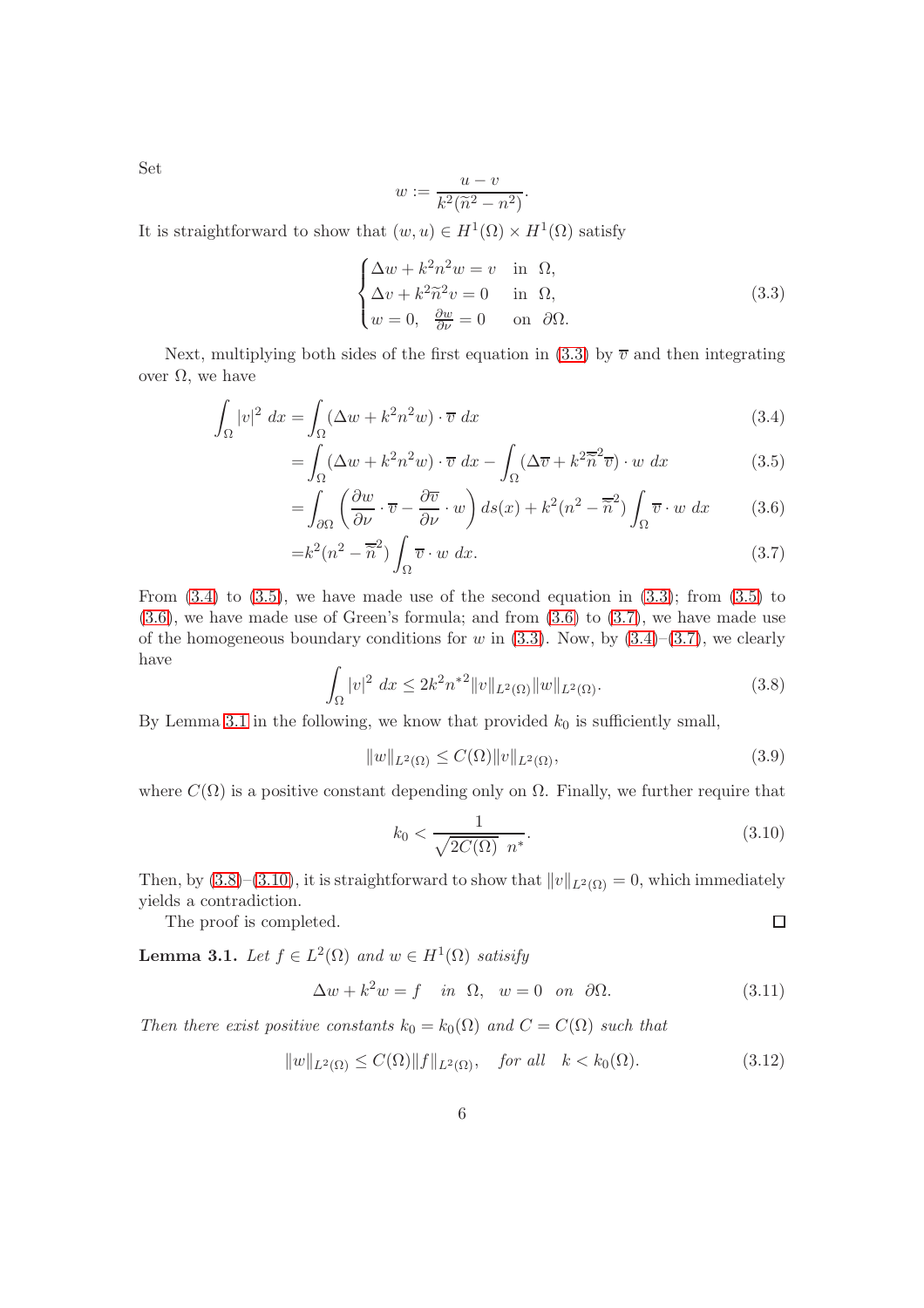$$
w := \frac{u - v}{k^2(\tilde{n}^2 - n^2)}.
$$

It is straightforward to show that  $(w, u) \in H^1(\Omega) \times H^1(\Omega)$  satisfy

$$
\begin{cases}\n\Delta w + k^2 n^2 w = v & \text{in } \Omega, \\
\Delta v + k^2 \tilde{n}^2 v = 0 & \text{in } \Omega, \\
w = 0, \quad \frac{\partial w}{\partial \nu} = 0 & \text{on } \partial \Omega.\n\end{cases}
$$
\n(3.3)

Next, multiplying both sides of the first equation in (3.3) by  $\overline{v}$  and then integrating over  $Ω$ , we have

$$
\int_{\Omega} |v|^2 \, dx = \int_{\Omega} (\Delta w + k^2 n^2 w) \cdot \overline{v} \, dx \tag{3.4}
$$

$$
= \int_{\Omega} (\Delta w + k^2 n^2 w) \cdot \overline{v} \, dx - \int_{\Omega} (\Delta \overline{v} + k^2 \overline{\widetilde{n}}^2 \overline{v}) \cdot w \, dx \tag{3.5}
$$

$$
= \int_{\partial\Omega} \left( \frac{\partial w}{\partial \nu} \cdot \overline{v} - \frac{\partial \overline{v}}{\partial \nu} \cdot w \right) ds(x) + k^2 (n^2 - \overline{\hat{n}}^2) \int_{\Omega} \overline{v} \cdot w \, dx \tag{3.6}
$$

$$
=k^2(n^2-\overline{\widetilde{n}}^2)\int_{\Omega}\overline{v}\cdot w\ dx.
$$
\n(3.7)

From  $(3.4)$  to  $(3.5)$ , we have made use of the second equation in  $(3.3)$ ; from  $(3.5)$  to (3.6), we have made use of Green's formula; and from (3.6) to (3.7), we have made use of the homogeneous boundary conditions for w in  $(3.3)$ . Now, by  $(3.4)$ – $(3.7)$ , we clearly have

$$
\int_{\Omega} |v|^2 \ dx \le 2k^2 n^{*2} \|v\|_{L^2(\Omega)} \|w\|_{L^2(\Omega)}.
$$
\n(3.8)

By Lemma 3.1 in the following, we know that provided  $k_0$  is sufficiently small,

$$
||w||_{L^{2}(\Omega)} \leq C(\Omega) ||v||_{L^{2}(\Omega)},
$$
\n(3.9)

where  $C(\Omega)$  is a positive constant depending only on  $\Omega$ . Finally, we further require that

$$
k_0 < \frac{1}{\sqrt{2C(\Omega)} \ n^*}.\tag{3.10}
$$

 $\Box$ 

Then, by  $(3.8)$ – $(3.10)$ , it is straightforward to show that  $||v||_{L^2(\Omega)} = 0$ , which immediately yields a contradiction.

The proof is completed.

**Lemma 3.1.** Let  $f \in L^2(\Omega)$  and  $w \in H^1(\Omega)$  satisify

$$
\Delta w + k^2 w = f \quad in \ \Omega, \ \ w = 0 \ \ on \ \partial\Omega. \tag{3.11}
$$

Then there exist positive constants  $k_0 = k_0(\Omega)$  and  $C = C(\Omega)$  such that

$$
||w||_{L^{2}(\Omega)} \leq C(\Omega) ||f||_{L^{2}(\Omega)}, \quad \text{for all} \quad k < k_0(\Omega). \tag{3.12}
$$

Set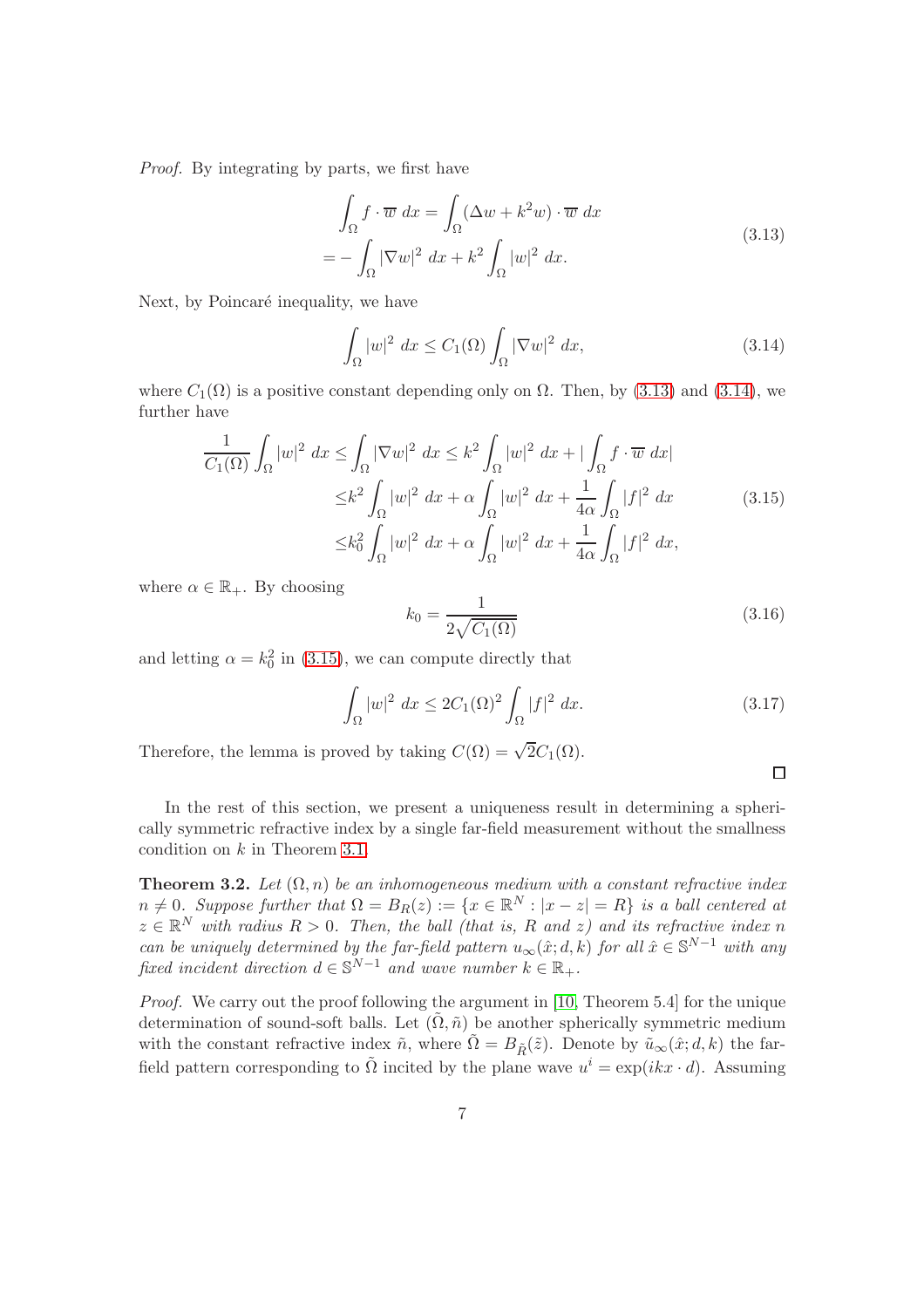Proof. By integrating by parts, we first have

$$
\int_{\Omega} f \cdot \overline{w} \, dx = \int_{\Omega} (\Delta w + k^2 w) \cdot \overline{w} \, dx
$$
\n
$$
= - \int_{\Omega} |\nabla w|^2 \, dx + k^2 \int_{\Omega} |w|^2 \, dx. \tag{3.13}
$$

Next, by Poincaré inequality, we have

$$
\int_{\Omega} |w|^2 dx \le C_1(\Omega) \int_{\Omega} |\nabla w|^2 dx,
$$
\n(3.14)

where  $C_1(\Omega)$  is a positive constant depending only on  $\Omega$ . Then, by (3.13) and (3.14), we further have

$$
\frac{1}{C_1(\Omega)} \int_{\Omega} |w|^2 dx \le \int_{\Omega} |\nabla w|^2 dx \le k^2 \int_{\Omega} |w|^2 dx + |\int_{\Omega} f \cdot \overline{w} dx|
$$
  

$$
\le k^2 \int_{\Omega} |w|^2 dx + \alpha \int_{\Omega} |w|^2 dx + \frac{1}{4\alpha} \int_{\Omega} |f|^2 dx
$$
  

$$
\le k_0^2 \int_{\Omega} |w|^2 dx + \alpha \int_{\Omega} |w|^2 dx + \frac{1}{4\alpha} \int_{\Omega} |f|^2 dx,
$$
 (3.15)

where  $\alpha \in \mathbb{R}_+$ . By choosing

$$
k_0 = \frac{1}{2\sqrt{C_1(\Omega)}}\tag{3.16}
$$

 $\Box$ 

and letting  $\alpha = k_0^2$  in (3.15), we can compute directly that

$$
\int_{\Omega} |w|^2 dx \le 2C_1(\Omega)^2 \int_{\Omega} |f|^2 dx.
$$
\n(3.17)

Therefore, the lemma is proved by taking  $C(\Omega) = \sqrt{2}C_1(\Omega)$ .

|  |                                  |  |  |  | In the rest of this section, we present a uniqueness result in determining a spheri-     |  |  |
|--|----------------------------------|--|--|--|------------------------------------------------------------------------------------------|--|--|
|  |                                  |  |  |  | cally symmetric refractive index by a single far-field measurement without the smallness |  |  |
|  | condition on $k$ in Theorem 3.1. |  |  |  |                                                                                          |  |  |

**Theorem 3.2.** Let  $(\Omega, n)$  be an inhomogeneous medium with a constant refractive index  $n \neq 0$ . Suppose further that  $\Omega = B_R(z) := \{x \in \mathbb{R}^N : |x - z| = R\}$  is a ball centered at  $z \in \mathbb{R}^N$  with radius  $R > 0$ . Then, the ball (that is, R and z) and its refractive index n can be uniquely determined by the far-field pattern  $u_{\infty}(\hat{x}; d, k)$  for all  $\hat{x} \in \mathbb{S}^{N-1}$  with any fixed incident direction  $d \in \mathbb{S}^{N-1}$  and wave number  $k \in \mathbb{R}_+$ .

Proof. We carry out the proof following the argument in [10, Theorem 5.4] for the unique determination of sound-soft balls. Let  $(\Omega, \tilde{n})$  be another spherically symmetric medium with the constant refractive index  $\tilde{n}$ , where  $\tilde{\Omega} = B_{\tilde{R}}(\tilde{z})$ . Denote by  $\tilde{u}_{\infty}(\tilde{x}; d, k)$  the farfield pattern corresponding to  $\tilde{\Omega}$  incited by the plane wave  $u^i = \exp(ikx \cdot d)$ . Assuming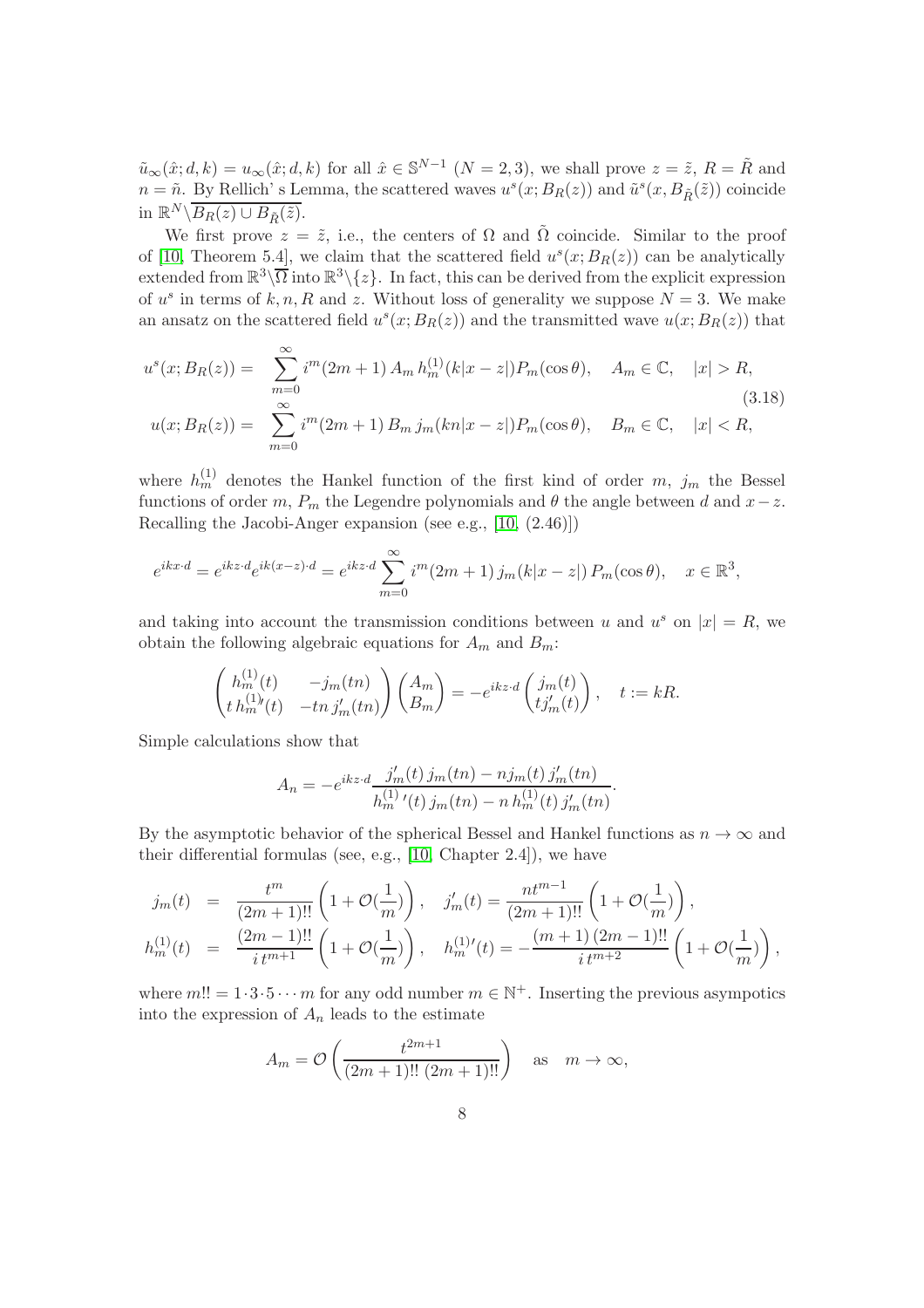$\tilde{u}_{\infty}(\hat{x}; d, k) = u_{\infty}(\hat{x}; d, k)$  for all  $\hat{x} \in \mathbb{S}^{N-1}$   $(N = 2, 3)$ , we shall prove  $z = \tilde{z}$ ,  $R = \tilde{R}$  and  $n = \tilde{n}$ . By Rellich's Lemma, the scattered waves  $u^s(x; B_R(z))$  and  $\tilde{u}^s(x, B_{\tilde{R}}(\tilde{z}))$  coincide in  $\mathbb{R}^N \backslash \overline{B_R(z) \cup B_{\tilde{R}}(\tilde{z})}.$ 

We first prove  $z = \tilde{z}$ , i.e., the centers of  $\Omega$  and  $\tilde{\Omega}$  coincide. Similar to the proof of [10, Theorem 5.4], we claim that the scattered field  $u^s(x; B_R(z))$  can be analytically extended from  $\mathbb{R}^3 \setminus \overline{\Omega}$  into  $\mathbb{R}^3 \setminus \{z\}$ . In fact, this can be derived from the explicit expression of  $u^s$  in terms of  $k, n, R$  and z. Without loss of generality we suppose  $N = 3$ . We make an ansatz on the scattered field  $u^s(x; B_R(z))$  and the transmitted wave  $u(x; B_R(z))$  that

$$
u^{s}(x; B_{R}(z)) = \sum_{m=0}^{\infty} i^{m} (2m+1) A_{m} h_{m}^{(1)}(k|x-z|) P_{m}(\cos \theta), \quad A_{m} \in \mathbb{C}, \quad |x| > R,
$$
\n(3.18)

$$
u(x; B_R(z)) = \sum_{m=0}^{\infty} i^m (2m+1) B_m j_m(kn|x-z|) P_m(\cos \theta), \quad B_m \in \mathbb{C}, \quad |x| < R,
$$

where  $h_m^{(1)}$  denotes the Hankel function of the first kind of order m,  $j_m$  the Bessel functions of order m,  $P_m$  the Legendre polynomials and  $\theta$  the angle between d and  $x-z$ . Recalling the Jacobi-Anger expansion (see e.g., [10, (2.46)])

$$
e^{ikx \cdot d} = e^{ikz \cdot d} e^{ik(x-z) \cdot d} = e^{ikz \cdot d} \sum_{m=0}^{\infty} i^m (2m+1) j_m(k|x-z|) P_m(\cos \theta), \quad x \in \mathbb{R}^3,
$$

and taking into account the transmission conditions between u and  $u^s$  on  $|x| = R$ , we obtain the following algebraic equations for  $A_m$  and  $B_m$ :

$$
\begin{pmatrix} h_m^{(1)}(t) & -j_m(tn) \ t h_m^{(1)\prime}(t) & -tn j_m'(tn) \end{pmatrix} \begin{pmatrix} A_m \ B_m \end{pmatrix} = -e^{ikz \cdot d} \begin{pmatrix} j_m(t) \ t j_m'(t) \end{pmatrix}, \quad t := kR.
$$

Simple calculations show that

$$
A_n = -e^{ikz \cdot d} \frac{j'_m(t) j_m(t_n) - n j_m(t) j'_m(t_n)}{h_m^{(1)}(t) j_m(t_n) - n h_m^{(1)}(t) j'_m(t_n)}.
$$

By the asymptotic behavior of the spherical Bessel and Hankel functions as  $n \to \infty$  and their differential formulas (see, e.g., [10, Chapter 2.4]), we have

$$
\begin{array}{rcl} j_m(t) & = & \displaystyle \frac{t^m}{(2m+1)!!} \left(1 + \mathcal{O}(\frac{1}{m})\right), \quad j_m'(t) = \frac{nt^{m-1}}{(2m+1)!!} \left(1 + \mathcal{O}(\frac{1}{m})\right), \\[0.2cm] h_m^{(1)}(t) & = & \displaystyle \frac{(2m-1)!!}{i\,t^{m+1}} \left(1 + \mathcal{O}(\frac{1}{m})\right), \quad h_m^{(1)\prime}(t) = -\displaystyle \frac{(m+1)\,(2m-1)!!}{i\,t^{m+2}} \left(1 + \mathcal{O}(\frac{1}{m})\right), \end{array}
$$

where  $m!! = 1 \cdot 3 \cdot 5 \cdots m$  for any odd number  $m \in \mathbb{N}^+$ . Inserting the previous asympotics into the expression of  $A_n$  leads to the estimate

$$
A_m = \mathcal{O}\left(\frac{t^{2m+1}}{(2m+1)!!\ (2m+1)!!}\right) \quad \text{as} \quad m \to \infty,
$$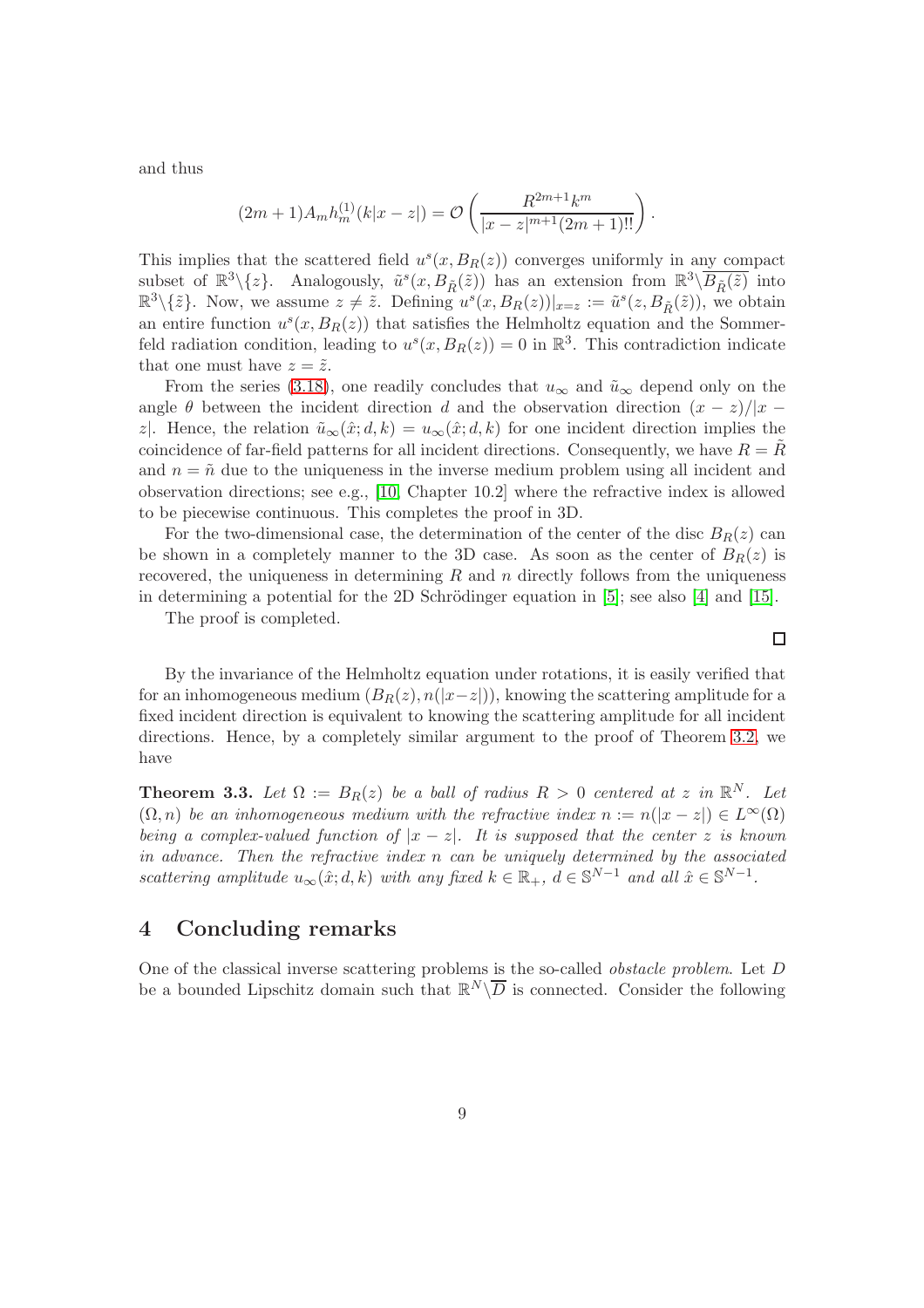and thus

$$
(2m+1)A_m h_m^{(1)}(k|x-z|) = \mathcal{O}\left(\frac{R^{2m+1}k^m}{|x-z|^{m+1}(2m+1)!!}\right)
$$

.

This implies that the scattered field  $u^s(x, B_R(z))$  converges uniformly in any compact subset of  $\mathbb{R}^3\setminus\{z\}$ . Analogously,  $\tilde{u}^s(x, B_{\tilde{R}}(\tilde{z}))$  has an extension from  $\mathbb{R}^3\setminus\overline{B_{\tilde{R}}(\tilde{z})}$  into  $\mathbb{R}^3\setminus\{\tilde{z}\}.$  Now, we assume  $z \neq \tilde{z}$ . Defining  $u^s(x, B_R(z))|_{x=z} := \tilde{u}^s(z, B_{\tilde{R}}(\tilde{z}))$ , we obtain an entire function  $u^s(x, B_R(z))$  that satisfies the Helmholtz equation and the Sommerfeld radiation condition, leading to  $u^s(x, B_R(z)) = 0$  in  $\mathbb{R}^3$ . This contradiction indicate that one must have  $z = \tilde{z}$ .

From the series (3.18), one readily concludes that  $u_{\infty}$  and  $\tilde{u}_{\infty}$  depend only on the angle  $\theta$  between the incident direction d and the observation direction  $(x - z)/|x - z|$ z. Hence, the relation  $\tilde{u}_{\infty}(\hat{x}; d, k) = u_{\infty}(\hat{x}; d, k)$  for one incident direction implies the coincidence of far-field patterns for all incident directions. Consequently, we have  $R = R$ and  $n = \tilde{n}$  due to the uniqueness in the inverse medium problem using all incident and observation directions; see e.g., [10, Chapter 10.2] where the refractive index is allowed to be piecewise continuous. This completes the proof in 3D.

For the two-dimensional case, the determination of the center of the disc  $B_R(z)$  can be shown in a completely manner to the 3D case. As soon as the center of  $B_R(z)$  is recovered, the uniqueness in determining  $R$  and  $n$  directly follows from the uniqueness in determining a potential for the 2D Schrödinger equation in  $[5]$ ; see also [4] and [15].

The proof is completed.

By the invariance of the Helmholtz equation under rotations, it is easily verified that for an inhomogeneous medium  $(B_R(z), n(|x-z|))$ , knowing the scattering amplitude for a fixed incident direction is equivalent to knowing the scattering amplitude for all incident directions. Hence, by a completely similar argument to the proof of Theorem 3.2, we have

**Theorem 3.3.** Let  $\Omega := B_R(z)$  be a ball of radius  $R > 0$  centered at z in  $\mathbb{R}^N$ . Let  $(\Omega, n)$  be an inhomogeneous medium with the refractive index  $n := n(|x - z|) \in L^{\infty}(\Omega)$ being a complex-valued function of  $|x - z|$ . It is supposed that the center z is known in advance. Then the refractive index n can be uniquely determined by the associated scattering amplitude  $u_{\infty}(\hat{x}; d, k)$  with any fixed  $k \in \mathbb{R}_+$ ,  $d \in \mathbb{S}^{N-1}$  and all  $\hat{x} \in \mathbb{S}^{N-1}$ .

## 4 Concluding remarks

One of the classical inverse scattering problems is the so-called obstacle problem. Let D be a bounded Lipschitz domain such that  $\mathbb{R}^N \setminus \overline{D}$  is connected. Consider the following

 $\Box$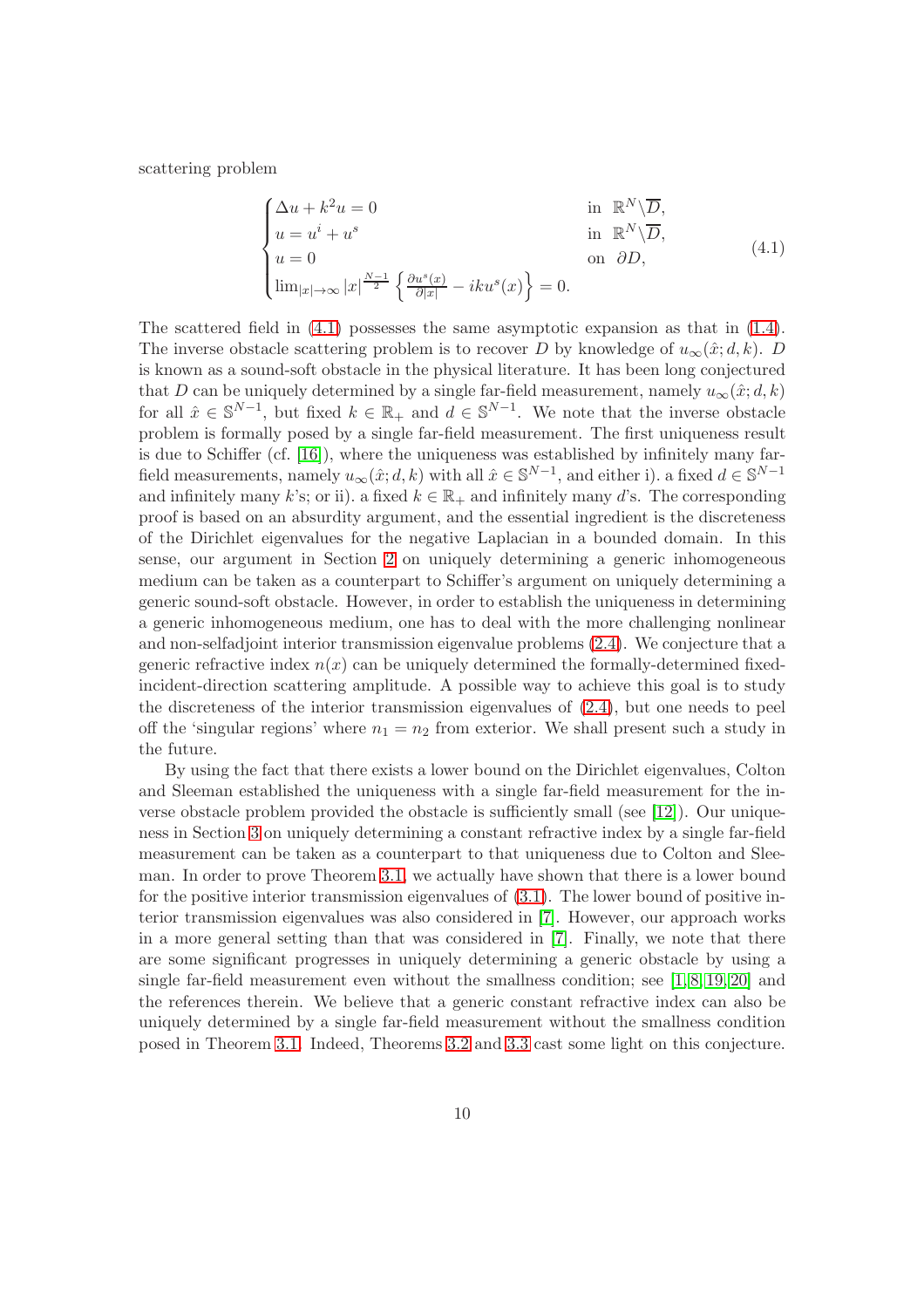scattering problem

$$
\begin{cases}\n\Delta u + k^2 u = 0 & \text{in } \mathbb{R}^N \setminus \overline{D}, \\
u = u^i + u^s & \text{in } \mathbb{R}^N \setminus \overline{D}, \\
u = 0 & \text{on } \partial D, \\
\lim_{|x| \to \infty} |x|^{\frac{N-1}{2}} \left\{ \frac{\partial u^s(x)}{\partial |x|} - iku^s(x) \right\} = 0.\n\end{cases}
$$
\n(4.1)

The scattered field in  $(4.1)$  possesses the same asymptotic expansion as that in  $(1.4)$ . The inverse obstacle scattering problem is to recover D by knowledge of  $u_{\infty}(\hat{x}; d, k)$ . D is known as a sound-soft obstacle in the physical literature. It has been long conjectured that D can be uniquely determined by a single far-field measurement, namely  $u_{\infty}(\hat{x}; d, k)$ for all  $\hat{x} \in \mathbb{S}^{N-1}$ , but fixed  $k \in \mathbb{R}_+$  and  $d \in \mathbb{S}^{N-1}$ . We note that the inverse obstacle problem is formally posed by a single far-field measurement. The first uniqueness result is due to Schiffer (cf. [16]), where the uniqueness was established by infinitely many farfield measurements, namely  $u_{\infty}(\hat{x}; d, k)$  with all  $\hat{x} \in \mathbb{S}^{N-1}$ , and either i). a fixed  $d \in \mathbb{S}^{N-1}$ and infinitely many k's; or ii). a fixed  $k \in \mathbb{R}_+$  and infinitely many d's. The corresponding proof is based on an absurdity argument, and the essential ingredient is the discreteness of the Dirichlet eigenvalues for the negative Laplacian in a bounded domain. In this sense, our argument in Section 2 on uniquely determining a generic inhomogeneous medium can be taken as a counterpart to Schiffer's argument on uniquely determining a generic sound-soft obstacle. However, in order to establish the uniqueness in determining a generic inhomogeneous medium, one has to deal with the more challenging nonlinear and non-selfadjoint interior transmission eigenvalue problems (2.4). We conjecture that a generic refractive index  $n(x)$  can be uniquely determined the formally-determined fixedincident-direction scattering amplitude. A possible way to achieve this goal is to study the discreteness of the interior transmission eigenvalues of (2.4), but one needs to peel off the 'singular regions' where  $n_1 = n_2$  from exterior. We shall present such a study in the future.

By using the fact that there exists a lower bound on the Dirichlet eigenvalues, Colton and Sleeman established the uniqueness with a single far-field measurement for the inverse obstacle problem provided the obstacle is sufficiently small (see [12]). Our uniqueness in Section 3 on uniquely determining a constant refractive index by a single far-field measurement can be taken as a counterpart to that uniqueness due to Colton and Sleeman. In order to prove Theorem 3.1, we actually have shown that there is a lower bound for the positive interior transmission eigenvalues of (3.1). The lower bound of positive interior transmission eigenvalues was also considered in [7]. However, our approach works in a more general setting than that was considered in [7]. Finally, we note that there are some significant progresses in uniquely determining a generic obstacle by using a single far-field measurement even without the smallness condition; see  $[1, 8, 19, 20]$  and the references therein. We believe that a generic constant refractive index can also be uniquely determined by a single far-field measurement without the smallness condition posed in Theorem 3.1. Indeed, Theorems 3.2 and 3.3 cast some light on this conjecture.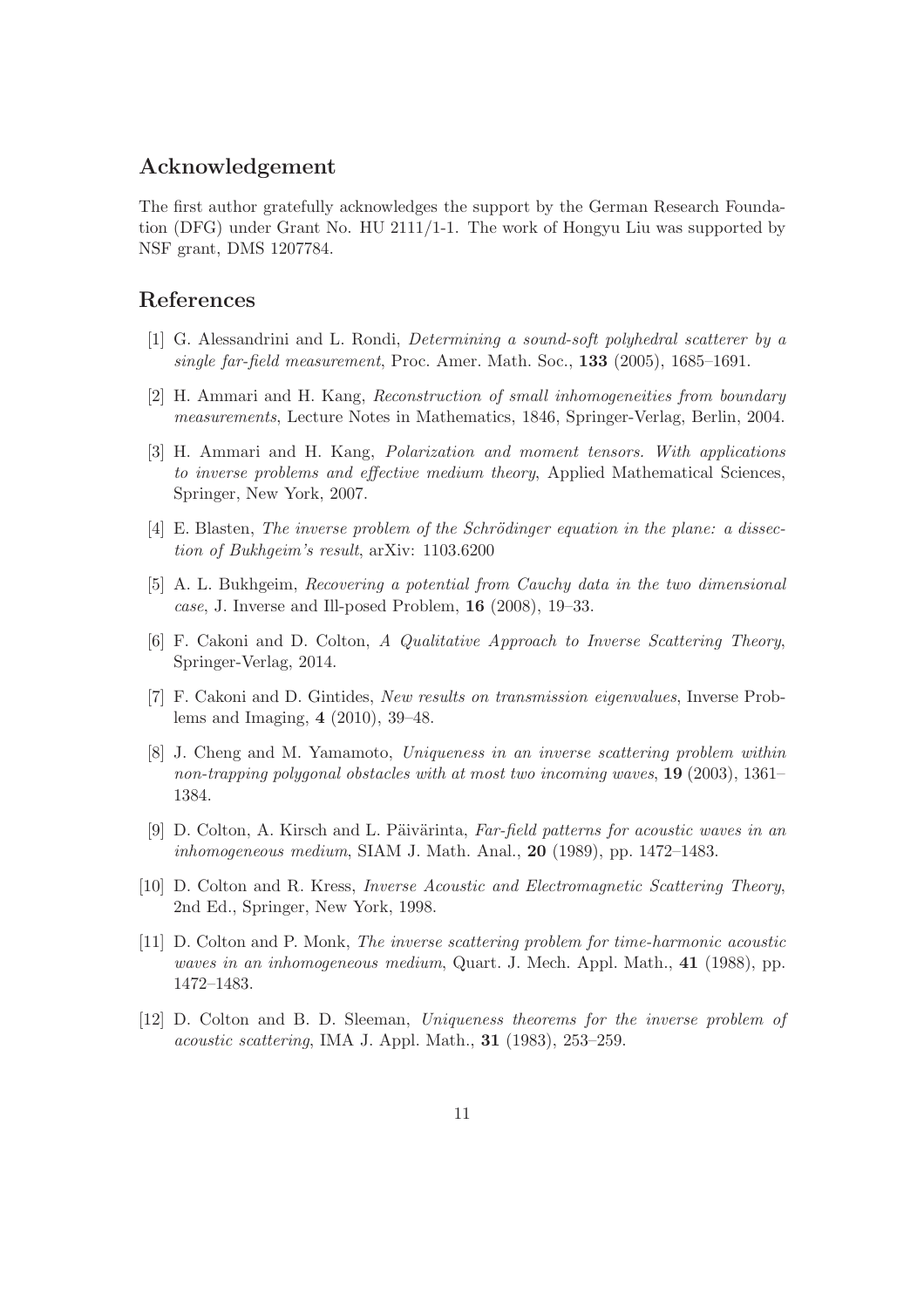## Acknowledgement

The first author gratefully acknowledges the support by the German Research Foundation (DFG) under Grant No. HU 2111/1-1. The work of Hongyu Liu was supported by NSF grant, DMS 1207784.

# References

- [1] G. Alessandrini and L. Rondi, Determining a sound-soft polyhedral scatterer by a single far-field measurement, Proc. Amer. Math. Soc., 133 (2005), 1685–1691.
- [2] H. Ammari and H. Kang, Reconstruction of small inhomogeneities from boundary measurements, Lecture Notes in Mathematics, 1846, Springer-Verlag, Berlin, 2004.
- [3] H. Ammari and H. Kang, Polarization and moment tensors. With applications to inverse problems and effective medium theory, Applied Mathematical Sciences, Springer, New York, 2007.
- $[4]$  E. Blasten, The inverse problem of the Schrödinger equation in the plane: a dissection of Bukhgeim's result, arXiv: 1103.6200
- [5] A. L. Bukhgeim, Recovering a potential from Cauchy data in the two dimensional case, J. Inverse and Ill-posed Problem, 16 (2008), 19–33.
- [6] F. Cakoni and D. Colton, A Qualitative Approach to Inverse Scattering Theory, Springer-Verlag, 2014.
- [7] F. Cakoni and D. Gintides, New results on transmission eigenvalues, Inverse Problems and Imaging, 4 (2010), 39–48.
- [8] J. Cheng and M. Yamamoto, Uniqueness in an inverse scattering problem within non-trapping polygonal obstacles with at most two incoming waves, **19** (2003), 1361– 1384.
- [9] D. Colton, A. Kirsch and L. Päivärinta, Far-field patterns for acoustic waves in an inhomogeneous medium, SIAM J. Math. Anal.,  $20$  (1989), pp. 1472–1483.
- [10] D. Colton and R. Kress, Inverse Acoustic and Electromagnetic Scattering Theory, 2nd Ed., Springer, New York, 1998.
- [11] D. Colton and P. Monk, The inverse scattering problem for time-harmonic acoustic waves in an inhomogeneous medium, Quart. J. Mech. Appl. Math., 41 (1988), pp. 1472–1483.
- [12] D. Colton and B. D. Sleeman, Uniqueness theorems for the inverse problem of *acoustic scattering*, IMA J. Appl. Math.,  $31$  (1983),  $253-259$ .